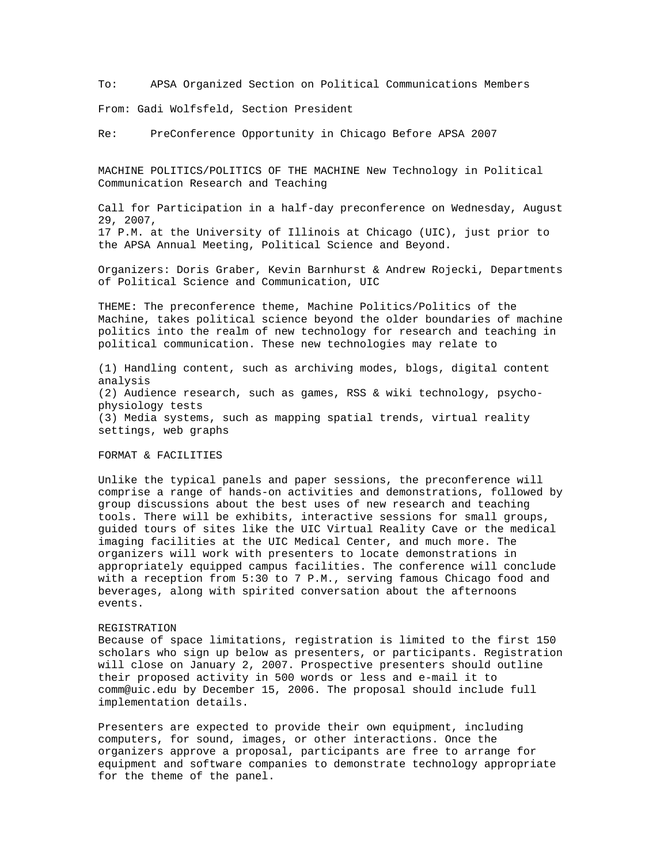To: APSA Organized Section on Political Communications Members

From: Gadi Wolfsfeld, Section President

Re: PreConference Opportunity in Chicago Before APSA 2007

MACHINE POLITICS/POLITICS OF THE MACHINE New Technology in Political Communication Research and Teaching

Call for Participation in a half-day preconference on Wednesday, August 29, 2007, 17 P.M. at the University of Illinois at Chicago (UIC), just prior to the APSA Annual Meeting, Political Science and Beyond.

Organizers: Doris Graber, Kevin Barnhurst & Andrew Rojecki, Departments of Political Science and Communication, UIC

THEME: The preconference theme, Machine Politics/Politics of the Machine, takes political science beyond the older boundaries of machine politics into the realm of new technology for research and teaching in political communication. These new technologies may relate to

(1) Handling content, such as archiving modes, blogs, digital content analysis (2) Audience research, such as games, RSS & wiki technology, psychophysiology tests (3) Media systems, such as mapping spatial trends, virtual reality settings, web graphs

## FORMAT & FACILITIES

Unlike the typical panels and paper sessions, the preconference will comprise a range of hands-on activities and demonstrations, followed by group discussions about the best uses of new research and teaching tools. There will be exhibits, interactive sessions for small groups, guided tours of sites like the UIC Virtual Reality Cave or the medical imaging facilities at the UIC Medical Center, and much more. The organizers will work with presenters to locate demonstrations in appropriately equipped campus facilities. The conference will conclude with a reception from 5:30 to 7 P.M., serving famous Chicago food and beverages, along with spirited conversation about the afternoons events.

## REGISTRATION

Because of space limitations, registration is limited to the first 150 scholars who sign up below as presenters, or participants. Registration will close on January 2, 2007. Prospective presenters should outline their proposed activity in 500 words or less and e-mail it to comm@uic.edu by December 15, 2006. The proposal should include full implementation details.

Presenters are expected to provide their own equipment, including computers, for sound, images, or other interactions. Once the organizers approve a proposal, participants are free to arrange for equipment and software companies to demonstrate technology appropriate for the theme of the panel.